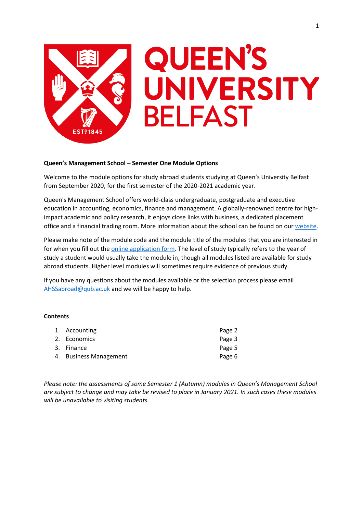

# **QUEEN'S** UNIVERSITY **BELFAST**

# **Queen's Management School – Semester One Module Options**

Welcome to the module options for study abroad students studying at Queen's University Belfast from September 2020, for the first semester of the 2020-2021 academic year.

Queen's Management School offers world-class undergraduate, postgraduate and executive education in accounting, economics, finance and management. A globally-renowned centre for highimpact academic and policy research, it enjoys close links with business, a dedicated placement office and a financial trading room. More information about the school can be found on our [website.](https://www.qub.ac.uk/mgt/)

Please make note of the module code and the module title of the modules that you are interested in for when you fill out the **online application form**. The level of study typically refers to the year of study a student would usually take the module in, though all modules listed are available for study abroad students. Higher level modules will sometimes require evidence of previous study.

If you have any questions about the modules available or the selection process please email [AHSSabroad@qub.ac.uk](mailto:AHSSabroad@qub.ac.uk) and we will be happy to help.

# **Contents**

| 1. Accounting          | Page 2 |
|------------------------|--------|
| 2. Economics           | Page 3 |
| 3. Finance             | Page 5 |
| 4. Business Management | Page 6 |

*Please note: the assessments of some Semester 1 (Autumn) modules in Queen's Management School are subject to change and may take be revised to place in January 2021. In such cases these modules will be unavailable to visiting students.*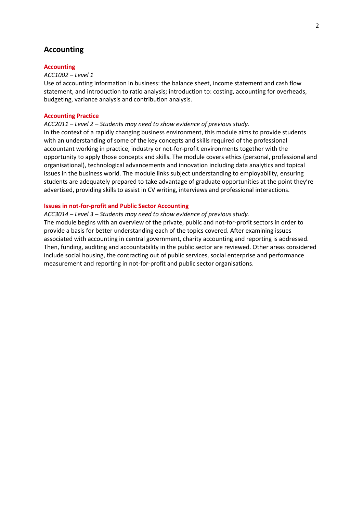# **Accounting**

# **Accounting**

## *ACC1002 – Level 1*

Use of accounting information in business: the balance sheet, income statement and cash flow statement, and introduction to ratio analysis; introduction to: costing, accounting for overheads, budgeting, variance analysis and contribution analysis.

# **Accounting Practice**

## *ACC2011 – Level 2 – Students may need to show evidence of previous study.*

In the context of a rapidly changing business environment, this module aims to provide students with an understanding of some of the key concepts and skills required of the professional accountant working in practice, industry or not-for-profit environments together with the opportunity to apply those concepts and skills. The module covers ethics (personal, professional and organisational), technological advancements and innovation including data analytics and topical issues in the business world. The module links subject understanding to employability, ensuring students are adequately prepared to take advantage of graduate opportunities at the point they're advertised, providing skills to assist in CV writing, interviews and professional interactions.

# **Issues in not-for-profit and Public Sector Accounting**

*ACC3014 – Level 3 – Students may need to show evidence of previous study.*  The module begins with an overview of the private, public and not-for-profit sectors in order to provide a basis for better understanding each of the topics covered. After examining issues associated with accounting in central government, charity accounting and reporting is addressed. Then, funding, auditing and accountability in the public sector are reviewed. Other areas considered include social housing, the contracting out of public services, social enterprise and performance measurement and reporting in not-for-profit and public sector organisations.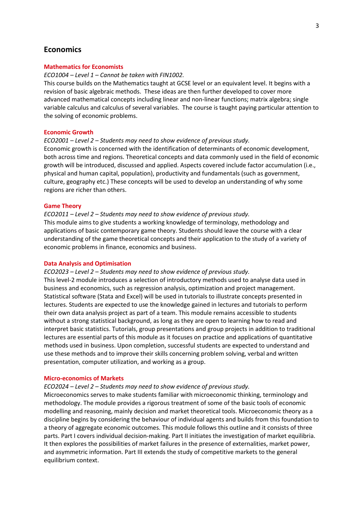# **Economics**

## **Mathematics for Economists**

## *ECO1004 – Level 1 – Cannot be taken with FIN1002.*

This course builds on the Mathematics taught at GCSE level or an equivalent level. It begins with a revision of basic algebraic methods. These ideas are then further developed to cover more advanced mathematical concepts including linear and non-linear functions; matrix algebra; single variable calculus and calculus of several variables. The course is taught paying particular attention to the solving of economic problems.

## **Economic Growth**

## *ECO2001 – Level 2 – Students may need to show evidence of previous study.*

Economic growth is concerned with the identification of determinants of economic development, both across time and regions. Theoretical concepts and data commonly used in the field of economic growth will be introduced, discussed and applied. Aspects covered include factor accumulation (i.e., physical and human capital, population), productivity and fundamentals (such as government, culture, geography etc.) These concepts will be used to develop an understanding of why some regions are richer than others.

## **Game Theory**

## *ECO2011 – Level 2 – Students may need to show evidence of previous study.*

This module aims to give students a working knowledge of terminology, methodology and applications of basic contemporary game theory. Students should leave the course with a clear understanding of the game theoretical concepts and their application to the study of a variety of economic problems in finance, economics and business.

## **Data Analysis and Optimisation**

# *ECO2023 – Level 2 – Students may need to show evidence of previous study.*

This level-2 module introduces a selection of introductory methods used to analyse data used in business and economics, such as regression analysis, optimization and project management. Statistical software (Stata and Excel) will be used in tutorials to illustrate concepts presented in lectures. Students are expected to use the knowledge gained in lectures and tutorials to perform their own data analysis project as part of a team. This module remains accessible to students without a strong statistical background, as long as they are open to learning how to read and interpret basic statistics. Tutorials, group presentations and group projects in addition to traditional lectures are essential parts of this module as it focuses on practice and applications of quantitative methods used in business. Upon completion, successful students are expected to understand and use these methods and to improve their skills concerning problem solving, verbal and written presentation, computer utilization, and working as a group.

## **Micro-economics of Markets**

# *ECO2024 – Level 2 – Students may need to show evidence of previous study.*

Microeconomics serves to make students familiar with microeconomic thinking, terminology and methodology. The module provides a rigorous treatment of some of the basic tools of economic modelling and reasoning, mainly decision and market theoretical tools. Microeconomic theory as a discipline begins by considering the behaviour of individual agents and builds from this foundation to a theory of aggregate economic outcomes. This module follows this outline and it consists of three parts. Part I covers individual decision-making. Part II initiates the investigation of market equilibria. It then explores the possibilities of market failures in the presence of externalities, market power, and asymmetric information. Part III extends the study of competitive markets to the general equilibrium context.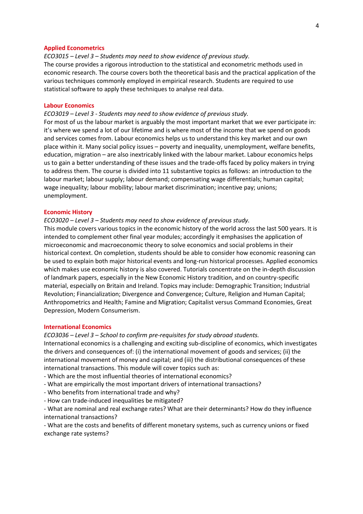#### **Applied Econometrics**

*ECO3015 – Level 3 – Students may need to show evidence of previous study.* The course provides a rigorous introduction to the statistical and econometric methods used in economic research. The course covers both the theoretical basis and the practical application of the various techniques commonly employed in empirical research. Students are required to use statistical software to apply these techniques to analyse real data.

## **Labour Economics**

*ECO3019 – Level 3 - Students may need to show evidence of previous study.*

For most of us the labour market is arguably the most important market that we ever participate in: it's where we spend a lot of our lifetime and is where most of the income that we spend on goods and services comes from. Labour economics helps us to understand this key market and our own place within it. Many social policy issues – poverty and inequality, unemployment, welfare benefits, education, migration – are also inextricably linked with the labour market. Labour economics helps us to gain a better understanding of these issues and the trade-offs faced by policy makers in trying to address them. The course is divided into 11 substantive topics as follows: an introduction to the labour market; labour supply; labour demand; compensating wage differentials; human capital; wage inequality; labour mobility; labour market discrimination; incentive pay; unions; unemployment.

#### **Economic History**

## *ECO3020 – Level 3 – Students may need to show evidence of previous study.*

This module covers various topics in the economic history of the world across the last 500 years. It is intended to complement other final year modules; accordingly it emphasises the application of microeconomic and macroeconomic theory to solve economics and social problems in their historical context. On completion, students should be able to consider how economic reasoning can be used to explain both major historical events and long-run historical processes. Applied economics which makes use economic history is also covered. Tutorials concentrate on the in-depth discussion of landmark papers, especially in the New Economic History tradition, and on country-specific material, especially on Britain and Ireland. Topics may include: Demographic Transition; Industrial Revolution; Financialization; Divergence and Convergence; Culture, Religion and Human Capital; Anthropometrics and Health; Famine and Migration; Capitalist versus Command Economies, Great Depression, Modern Consumerism.

## **International Economics**

#### *ECO3036 – Level 3 – School to confirm pre-requisites for study abroad students.*

International economics is a challenging and exciting sub-discipline of economics, which investigates the drivers and consequences of: (i) the international movement of goods and services; (ii) the international movement of money and capital; and (iii) the distributional consequences of these international transactions. This module will cover topics such as:

- Which are the most influential theories of international economics?
- What are empirically the most important drivers of international transactions?
- Who benefits from international trade and why?
- How can trade-induced inequalities be mitigated?

- What are nominal and real exchange rates? What are their determinants? How do they influence international transactions?

- What are the costs and benefits of different monetary systems, such as currency unions or fixed exchange rate systems?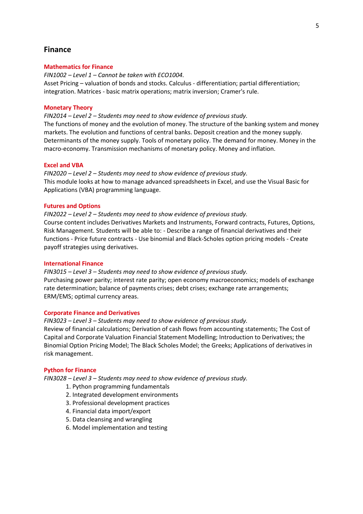# **Finance**

## **Mathematics for Finance**

*FIN1002 – Level 1 – Cannot be taken with ECO1004.* Asset Pricing – valuation of bonds and stocks. Calculus - differentiation; partial differentiation; integration. Matrices - basic matrix operations; matrix inversion; Cramer's rule.

## **Monetary Theory**

*FIN2014 – Level 2 – Students may need to show evidence of previous study.*

The functions of money and the evolution of money. The structure of the banking system and money markets. The evolution and functions of central banks. Deposit creation and the money supply. Determinants of the money supply. Tools of monetary policy. The demand for money. Money in the macro-economy. Transmission mechanisms of monetary policy. Money and inflation.

## **Excel and VBA**

*FIN2020 – Level 2 – Students may need to show evidence of previous study.* This module looks at how to manage advanced spreadsheets in Excel, and use the Visual Basic for Applications (VBA) programming language.

# **Futures and Options**

*FIN2022 – Level 2 – Students may need to show evidence of previous study.* Course content includes Derivatives Markets and Instruments, Forward contracts, Futures, Options, Risk Management. Students will be able to: - Describe a range of financial derivatives and their functions - Price future contracts - Use binomial and Black-Scholes option pricing models - Create payoff strategies using derivatives.

# **International Finance**

*FIN3015 – Level 3 – Students may need to show evidence of previous study.* Purchasing power parity; interest rate parity; open economy macroeconomics; models of exchange rate determination; balance of payments crises; debt crises; exchange rate arrangements; ERM/EMS; optimal currency areas.

## **Corporate Finance and Derivatives**

*FIN3023 – Level 3 – Students may need to show evidence of previous study.* Review of financial calculations; Derivation of cash flows from accounting statements; The Cost of Capital and Corporate Valuation Financial Statement Modelling; Introduction to Derivatives; the Binomial Option Pricing Model; The Black Scholes Model; the Greeks; Applications of derivatives in risk management.

## **Python for Finance**

*FIN3028 – Level 3 – Students may need to show evidence of previous study.*

- 1. Python programming fundamentals
- 2. Integrated development environments
- 3. Professional development practices
- 4. Financial data import/export
- 5. Data cleansing and wrangling
- 6. Model implementation and testing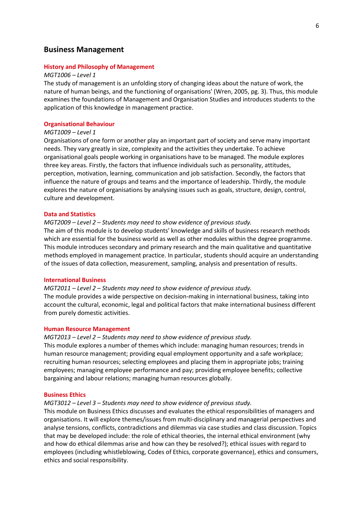# **Business Management**

## **History and Philosophy of Management**

## *MGT1006 – Level 1*

The study of management is an unfolding story of changing ideas about the nature of work, the nature of human beings, and the functioning of organisations' (Wren, 2005, pg. 3). Thus, this module examines the foundations of Management and Organisation Studies and introduces students to the application of this knowledge in management practice.

# **Organisational Behaviour**

# *MGT1009 – Level 1*

Organisations of one form or another play an important part of society and serve many important needs. They vary greatly in size, complexity and the activities they undertake. To achieve organisational goals people working in organisations have to be managed. The module explores three key areas. Firstly, the factors that influence individuals such as personality, attitudes, perception, motivation, learning, communication and job satisfaction. Secondly, the factors that influence the nature of groups and teams and the importance of leadership. Thirdly, the module explores the nature of organisations by analysing issues such as goals, structure, design, control, culture and development.

#### **Data and Statistics**

## *MGT2009 – Level 2 – Students may need to show evidence of previous study.*

The aim of this module is to develop students' knowledge and skills of business research methods which are essential for the business world as well as other modules within the degree programme. This module introduces secondary and primary research and the main qualitative and quantitative methods employed in management practice. In particular, students should acquire an understanding of the issues of data collection, measurement, sampling, analysis and presentation of results.

## **International Business**

#### *MGT2011 – Level 2 – Students may need to show evidence of previous study.*

The module provides a wide perspective on decision-making in international business, taking into account the cultural, economic, legal and political factors that make international business different from purely domestic activities.

## **Human Resource Management**

# *MGT2013 – Level 2 – Students may need to show evidence of previous study.*

This module explores a number of themes which include: managing human resources; trends in human resource management; providing equal employment opportunity and a safe workplace; recruiting human resources; selecting employees and placing them in appropriate jobs; training employees; managing employee performance and pay; providing employee benefits; collective bargaining and labour relations; managing human resources globally.

## **Business Ethics**

## *MGT3012 – Level 3 – Students may need to show evidence of previous study.*

This module on Business Ethics discusses and evaluates the ethical responsibilities of managers and organisations. It will explore themes/issues from multi-disciplinary and managerial perspectives and analyse tensions, conflicts, contradictions and dilemmas via case studies and class discussion. Topics that may be developed include: the role of ethical theories, the internal ethical environment (why and how do ethical dilemmas arise and how can they be resolved?); ethical issues with regard to employees (including whistleblowing, Codes of Ethics, corporate governance), ethics and consumers, ethics and social responsibility.